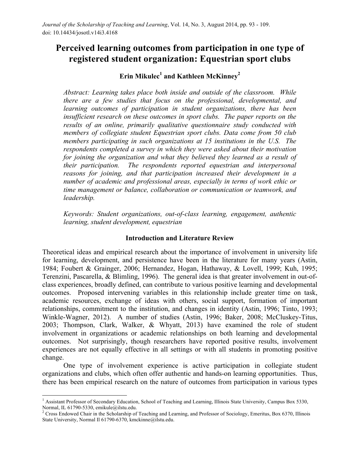# **Perceived learning outcomes from participation in one type of registered student organization: Equestrian sport clubs**

# **Erin Mikulec<sup>1</sup> and Kathleen McKinney2**

*Abstract: Learning takes place both inside and outside of the classroom. While there are a few studies that focus on the professional, developmental, and learning outcomes of participation in student organizations, there has been insufficient research on these outcomes in sport clubs. The paper reports on the results of an online, primarily qualitative questionnaire study conducted with members of collegiate student Equestrian sport clubs. Data come from 50 club members participating in such organizations at 15 institutions in the U.S. The respondents completed a survey in which they were asked about their motivation for joining the organization and what they believed they learned as a result of their participation. The respondents reported equestrian and interpersonal reasons for joining, and that participation increased their development in a number of academic and professional areas, especially in terms of work ethic or time management or balance, collaboration or communication or teamwork, and leadership.* 

*Keywords: Student organizations, out-of-class learning, engagement, authentic learning, student development, equestrian*

#### **Introduction and Literature Review**

Theoretical ideas and empirical research about the importance of involvement in university life for learning, development, and persistence have been in the literature for many years (Astin, 1984; Foubert & Grainger, 2006; Hernandez, Hogan, Hathaway, & Lovell, 1999; Kuh, 1995; Terenzini, Pascarella, & Blimling, 1996). The general idea is that greater involvement in out-ofclass experiences, broadly defined, can contribute to various positive learning and developmental outcomes. Proposed intervening variables in this relationship include greater time on task, academic resources, exchange of ideas with others, social support, formation of important relationships, commitment to the institution, and changes in identity (Astin, 1996; Tinto, 1993; Winkle-Wagner, 2012). A number of studies (Astin, 1996; Baker, 2008; McCluskey-Titus, 2003; Thompson, Clark, Walker, & Whyatt, 2013) have examined the role of student involvement in organizations or academic relationships on both learning and developmental outcomes. Not surprisingly, though researchers have reported positive results, involvement experiences are not equally effective in all settings or with all students in promoting positive change.

One type of involvement experience is active participation in collegiate student organizations and clubs, which often offer authentic and hands-on learning opportunities. Thus, there has been empirical research on the nature of outcomes from participation in various types

 

<sup>&</sup>lt;sup>1</sup> Assistant Professor of Secondary Education, School of Teaching and Learning, Illinois State University, Campus Box 5330, Normal, IL 61790-5330, emikule@ilstu.edu.<br><sup>2</sup> Cross Endowed Chair in the Scholarship of Teaching and Learning, and Professor of Sociology, Emeritus, Box 6370, Illinois

State University, Normal Il 61790-6370, kmckinne@ilstu.edu.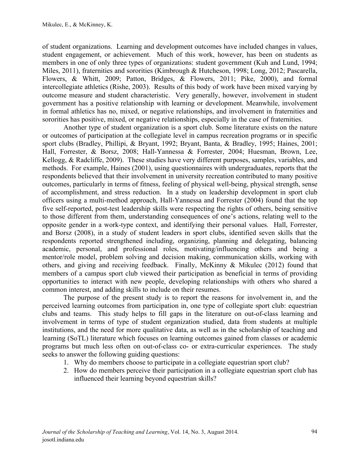of student organizations. Learning and development outcomes have included changes in values, student engagement, or achievement. Much of this work, however, has been on students as members in one of only three types of organizations: student government (Kuh and Lund, 1994; Miles, 2011), fraternities and sororities (Kimbrough & Hutcheson, 1998; Long, 2012; Pascarella, Flowers, & Whitt, 2009; Patton, Bridges, & Flowers, 2011; Pike, 2000), and formal intercollegiate athletics (Rishe, 2003). Results of this body of work have been mixed varying by outcome measure and student characteristic. Very generally, however, involvement in student government has a positive relationship with learning or development. Meanwhile, involvement in formal athletics has no, mixed, or negative relationships, and involvement in fraternities and sororities has positive, mixed, or negative relationships, especially in the case of fraternities.

Another type of student organization is a sport club. Some literature exists on the nature or outcomes of participation at the collegiate level in campus recreation programs or in specific sport clubs (Bradley, Phillipi, & Bryant, 1992; Bryant, Banta, & Bradley, 1995; Haines, 2001; Hall, Forrester, & Borsz, 2008; Hall-Yannessa & Forrester, 2004; Huesman, Brown, Lee, Kellogg, & Radcliffe, 2009). These studies have very different purposes, samples, variables, and methods. For example, Haines (2001), using questionnaires with undergraduates, reports that the respondents believed that their involvement in university recreation contributed to many positive outcomes, particularly in terms of fitness, feeling of physical well-being, physical strength, sense of accomplishment, and stress reduction. In a study on leadership development in sport club officers using a multi-method approach, Hall-Yannessa and Forrester (2004) found that the top five self-reported, post-test leadership skills were respecting the rights of others, being sensitive to those different from them, understanding consequences of one's actions, relating well to the opposite gender in a work-type context, and identifying their personal values. Hall, Forrester, and Borsz (2008), in a study of student leaders in sport clubs, identified seven skills that the respondents reported strengthened including, organizing, planning and delegating, balancing academic, personal, and professional roles, motivating/influencing others and being a mentor/role model, problem solving and decision making, communication skills, working with others, and giving and receiving feedback. Finally, McKinny & Mikulec (2012) found that members of a campus sport club viewed their participation as beneficial in terms of providing opportunities to interact with new people, developing relationships with others who shared a common interest, and adding skills to include on their resumes.

The purpose of the present study is to report the reasons for involvement in, and the perceived learning outcomes from participation in, one type of collegiate sport club: equestrian clubs and teams. This study helps to fill gaps in the literature on out-of-class learning and involvement in terms of type of student organization studied, data from students at multiple institutions, and the need for more qualitative data, as well as in the scholarship of teaching and learning (SoTL) literature which focuses on learning outcomes gained from classes or academic programs but much less often on out-of-class co- or extra-curricular experiences. The study seeks to answer the following guiding questions:

- 1. Why do members choose to participate in a collegiate equestrian sport club?
- 2. How do members perceive their participation in a collegiate equestrian sport club has influenced their learning beyond equestrian skills?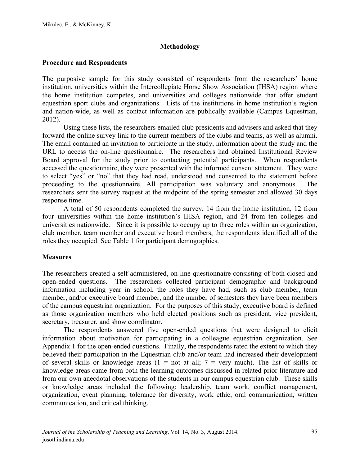#### **Methodology**

#### **Procedure and Respondents**

The purposive sample for this study consisted of respondents from the researchers' home institution, universities within the Intercollegiate Horse Show Association (IHSA) region where the home institution competes, and universities and colleges nationwide that offer student equestrian sport clubs and organizations. Lists of the institutions in home institution's region and nation-wide, as well as contact information are publically available (Campus Equestrian, 2012).

Using these lists, the researchers emailed club presidents and advisers and asked that they forward the online survey link to the current members of the clubs and teams, as well as alumni. The email contained an invitation to participate in the study, information about the study and the URL to access the on-line questionnaire. The researchers had obtained Institutional Review Board approval for the study prior to contacting potential participants. When respondents accessed the questionnaire, they were presented with the informed consent statement. They were to select "yes" or "no" that they had read, understood and consented to the statement before proceeding to the questionnaire. All participation was voluntary and anonymous. The researchers sent the survey request at the midpoint of the spring semester and allowed 30 days response time.

A total of 50 respondents completed the survey, 14 from the home institution, 12 from four universities within the home institution's IHSA region, and 24 from ten colleges and universities nationwide. Since it is possible to occupy up to three roles within an organization, club member, team member and executive board members, the respondents identified all of the roles they occupied. See Table 1 for participant demographics.

#### **Measures**

The researchers created a self-administered, on-line questionnaire consisting of both closed and open-ended questions. The researchers collected participant demographic and background information including year in school, the roles they have had, such as club member, team member, and/or executive board member, and the number of semesters they have been members of the campus equestrian organization. For the purposes of this study, executive board is defined as those organization members who held elected positions such as president, vice president, secretary, treasurer, and show coordinator.

The respondents answered five open-ended questions that were designed to elicit information about motivation for participating in a colleague equestrian organization. See Appendix 1 for the open-ended questions. Finally, the respondents rated the extent to which they believed their participation in the Equestrian club and/or team had increased their development of several skills or knowledge areas  $(1 = not at all; 7 = very much)$ . The list of skills or knowledge areas came from both the learning outcomes discussed in related prior literature and from our own anecdotal observations of the students in our campus equestrian club. These skills or knowledge areas included the following: leadership, team work, conflict management, organization, event planning, tolerance for diversity, work ethic, oral communication, written communication, and critical thinking.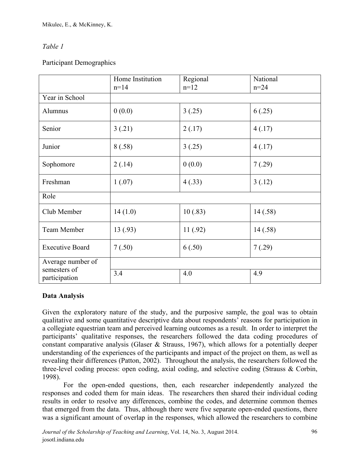# *Table 1*

# Participant Demographics

|                               | Home Institution | Regional | National |  |  |
|-------------------------------|------------------|----------|----------|--|--|
|                               | $n=14$           | $n=12$   | $n = 24$ |  |  |
| Year in School                |                  |          |          |  |  |
| Alumnus                       | 0(0.0)           | 3(.25)   | 6(.25)   |  |  |
| Senior                        | 3(.21)           | 2(.17)   | 4(.17)   |  |  |
| Junior                        | 8(.58)           | 3(.25)   | 4(.17)   |  |  |
| Sophomore                     | 2(.14)           | 0(0.0)   | 7(.29)   |  |  |
| Freshman                      | 1(.07)           | 4(.33)   | 3(.12)   |  |  |
| Role                          |                  |          |          |  |  |
| Club Member                   | 14(1.0)          | 10(.83)  | 14(.58)  |  |  |
| Team Member                   | 13(.93)          | 11(.92)  | 14(.58)  |  |  |
| <b>Executive Board</b>        | 7(.50)           | 6(.50)   | 7(.29)   |  |  |
| Average number of             |                  |          |          |  |  |
| semesters of<br>participation | 3.4              | 4.0      | 4.9      |  |  |

## **Data Analysis**

Given the exploratory nature of the study, and the purposive sample, the goal was to obtain qualitative and some quantitative descriptive data about respondents' reasons for participation in a collegiate equestrian team and perceived learning outcomes as a result. In order to interpret the participants' qualitative responses, the researchers followed the data coding procedures of constant comparative analysis (Glaser & Strauss, 1967), which allows for a potentially deeper understanding of the experiences of the participants and impact of the project on them, as well as revealing their differences (Patton, 2002). Throughout the analysis, the researchers followed the three-level coding process: open coding, axial coding, and selective coding (Strauss & Corbin, 1998).

For the open-ended questions, then, each researcher independently analyzed the responses and coded them for main ideas. The researchers then shared their individual coding results in order to resolve any differences, combine the codes, and determine common themes that emerged from the data. Thus, although there were five separate open-ended questions, there was a significant amount of overlap in the responses, which allowed the researchers to combine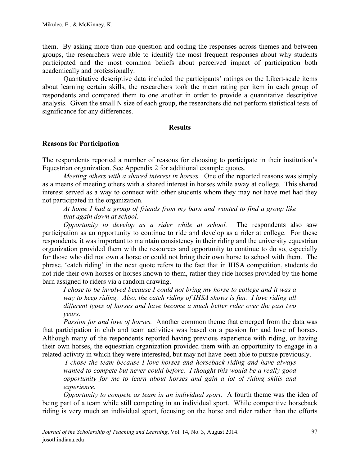them. By asking more than one question and coding the responses across themes and between groups, the researchers were able to identify the most frequent responses about why students participated and the most common beliefs about perceived impact of participation both academically and professionally.

Quantitative descriptive data included the participants' ratings on the Likert-scale items about learning certain skills, the researchers took the mean rating per item in each group of respondents and compared them to one another in order to provide a quantitative descriptive analysis. Given the small N size of each group, the researchers did not perform statistical tests of significance for any differences.

#### **Results**

#### **Reasons for Participation**

The respondents reported a number of reasons for choosing to participate in their institution's Equestrian organization. See Appendix 2 for additional example quotes.

*Meeting others with a shared interest in horses.* One of the reported reasons was simply as a means of meeting others with a shared interest in horses while away at college. This shared interest served as a way to connect with other students whom they may not have met had they not participated in the organization.

*At home I had a group of friends from my barn and wanted to find a group like that again down at school.*

*Opportunity to develop as a rider while at school.* The respondents also saw participation as an opportunity to continue to ride and develop as a rider at college. For these respondents, it was important to maintain consistency in their riding and the university equestrian organization provided them with the resources and opportunity to continue to do so, especially for those who did not own a horse or could not bring their own horse to school with them. The phrase, 'catch riding' in the next quote refers to the fact that in IHSA competition, students do not ride their own horses or horses known to them, rather they ride horses provided by the home barn assigned to riders via a random drawing.

*I chose to be involved because I could not bring my horse to college and it was a way to keep riding. Also, the catch riding of IHSA shows is fun. I love riding all different types of horses and have become a much better rider over the past two years.*

*Passion for and love of horses.* Another common theme that emerged from the data was that participation in club and team activities was based on a passion for and love of horses. Although many of the respondents reported having previous experience with riding, or having their own horses, the equestrian organization provided them with an opportunity to engage in a related activity in which they were interested, but may not have been able to pursue previously.

*I chose the team because I love horses and horseback riding and have always wanted to compete but never could before. I thought this would be a really good opportunity for me to learn about horses and gain a lot of riding skills and experience.*

*Opportunity to compete as team in an individual sport.* A fourth theme was the idea of being part of a team while still competing in an individual sport. While competitive horseback riding is very much an individual sport, focusing on the horse and rider rather than the efforts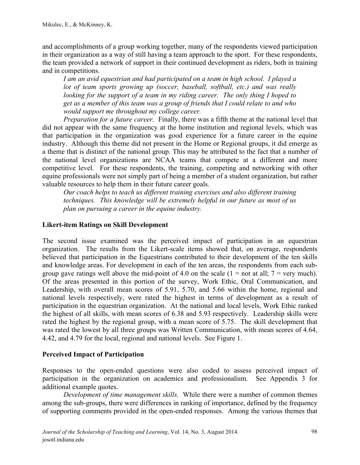and accomplishments of a group working together, many of the respondents viewed participation in their organization as a way of still having a team approach to the sport. For these respondents, the team provided a network of support in their continued development as riders, both in training and in competitions.

*I am an avid equestrian and had participated on a team in high school. I played a lot of team sports growing up (soccer, baseball, softball, etc.) and was really looking for the support of a team in my riding career. The only thing I hoped to get as a member of this team was a group of friends that I could relate to and who would support me throughout my college career.*

*Preparation for a future career.* Finally, there was a fifth theme at the national level that did not appear with the same frequency at the home institution and regional levels, which was that participation in the organization was good experience for a future career in the equine industry. Although this theme did not present in the Home or Regional groups, it did emerge as a theme that is distinct of the national group. This may be attributed to the fact that a number of the national level organizations are NCAA teams that compete at a different and more competitive level. For these respondents, the training, competing and networking with other equine professionals were not simply part of being a member of a student organization, but rather valuable resources to help them in their future career goals.

*Our coach helps to teach us different training exercises and also different training techniques. This knowledge will be extremely helpful in our future as most of us plan on pursuing a career in the equine industry.*

### **Likert-item Ratings on Skill Development**

The second issue examined was the perceived impact of participation in an equestrian organization. The results from the Likert-scale items showed that, on average, respondents believed that participation in the Equestrians contributed to their development of the ten skills and knowledge areas. For development in each of the ten areas, the respondents from each subgroup gave ratings well above the mid-point of 4.0 on the scale  $(1 = not at all; 7 = very much)$ . Of the areas presented in this portion of the survey, Work Ethic, Oral Communication, and Leadership, with overall mean scores of 5.91, 5.70, and 5.66 within the home, regional and national levels respectively, were rated the highest in terms of development as a result of participation in the equestrian organization. At the national and local levels, Work Ethic ranked the highest of all skills, with mean scores of 6.38 and 5.93 respectively. Leadership skills were rated the highest by the regional group, with a mean score of 5.75. The skill development that was rated the lowest by all three groups was Written Communication, with mean scores of 4.64, 4.42, and 4.79 for the local, regional and national levels. See Figure 1.

#### **Perceived Impact of Participation**

Responses to the open-ended questions were also coded to assess perceived impact of participation in the organization on academics and professionalism. See Appendix 3 for additional example quotes.

*Development of time management skills.* While there were a number of common themes among the sub-groups, there were differences in ranking of importance, defined by the frequency of supporting comments provided in the open-ended responses. Among the various themes that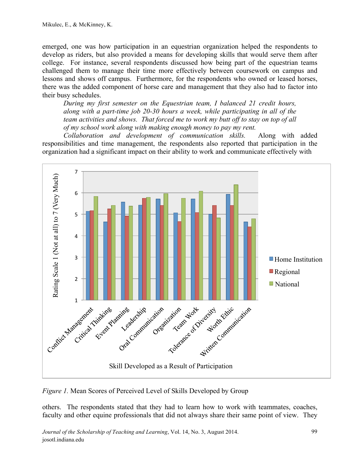emerged, one was how participation in an equestrian organization helped the respondents to develop as riders, but also provided a means for developing skills that would serve them after college. For instance, several respondents discussed how being part of the equestrian teams challenged them to manage their time more effectively between coursework on campus and lessons and shows off campus. Furthermore, for the respondents who owned or leased horses, there was the added component of horse care and management that they also had to factor into their busy schedules.

*During my first semester on the Equestrian team, I balanced 21 credit hours, along with a part-time job 20-30 hours a week, while participating in all of the team activities and shows. That forced me to work my butt off to stay on top of all of my school work along with making enough money to pay my rent.*

*Collaboration and development of communication skills.* Along with added responsibilities and time management, the respondents also reported that participation in the organization had a significant impact on their ability to work and communicate effectively with



*Figure 1.* Mean Scores of Perceived Level of Skills Developed by Group

others. The respondents stated that they had to learn how to work with teammates, coaches, faculty and other equine professionals that did not always share their same point of view. They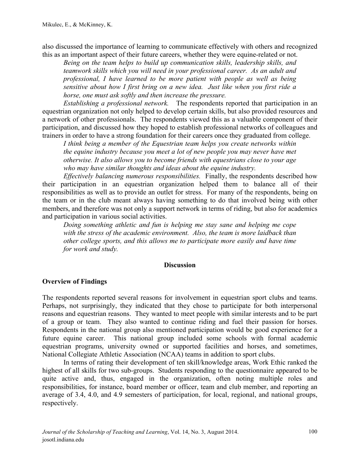also discussed the importance of learning to communicate effectively with others and recognized this as an important aspect of their future careers, whether they were equine-related or not.

*Being on the team helps to build up communication skills, leadership skills, and teamwork skills which you will need in your professional career. As an adult and professional, I have learned to be more patient with people as well as being sensitive about how I first bring on a new idea. Just like when you first ride a horse, one must ask softly and then increase the pressure.*

*Establishing a professional network.* The respondents reported that participation in an equestrian organization not only helped to develop certain skills, but also provided resources and a network of other professionals. The respondents viewed this as a valuable component of their participation, and discussed how they hoped to establish professional networks of colleagues and trainers in order to have a strong foundation for their careers once they graduated from college.

*I think being a member of the Equestrian team helps you create networks within the equine industry because you meet a lot of new people you may never have met otherwise. It also allows you to become friends with equestrians close to your age who may have similar thoughts and ideas about the equine industry.* 

*Effectively balancing numerous responsibilities.* Finally, the respondents described how their participation in an equestrian organization helped them to balance all of their responsibilities as well as to provide an outlet for stress. For many of the respondents, being on the team or in the club meant always having something to do that involved being with other members, and therefore was not only a support network in terms of riding, but also for academics and participation in various social activities.

*Doing something athletic and fun is helping me stay sane and helping me cope with the stress of the academic environment. Also, the team is more laidback than other college sports, and this allows me to participate more easily and have time for work and study.*

#### **Discussion**

#### **Overview of Findings**

The respondents reported several reasons for involvement in equestrian sport clubs and teams. Perhaps, not surprisingly, they indicated that they chose to participate for both interpersonal reasons and equestrian reasons. They wanted to meet people with similar interests and to be part of a group or team. They also wanted to continue riding and fuel their passion for horses. Respondents in the national group also mentioned participation would be good experience for a future equine career. This national group included some schools with formal academic equestrian programs, university owned or supported facilities and horses, and sometimes, National Collegiate Athletic Association (NCAA) teams in addition to sport clubs.

In terms of rating their development of ten skill/knowledge areas, Work Ethic ranked the highest of all skills for two sub-groups. Students responding to the questionnaire appeared to be quite active and, thus, engaged in the organization, often noting multiple roles and responsibilities, for instance, board member or officer, team and club member, and reporting an average of 3.4, 4.0, and 4.9 semesters of participation, for local, regional, and national groups, respectively.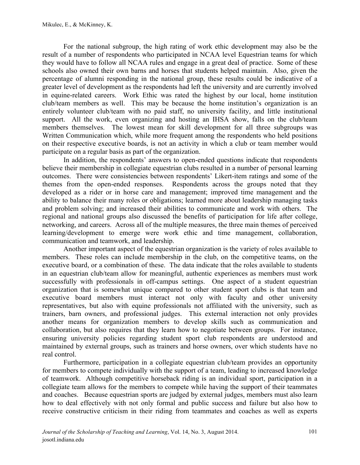For the national subgroup, the high rating of work ethic development may also be the result of a number of respondents who participated in NCAA level Equestrian teams for which they would have to follow all NCAA rules and engage in a great deal of practice. Some of these schools also owned their own barns and horses that students helped maintain. Also, given the percentage of alumni responding in the national group, these results could be indicative of a greater level of development as the respondents had left the university and are currently involved in equine-related careers. Work Ethic was rated the highest by our local, home institution club/team members as well. This may be because the home institution's organization is an entirely volunteer club/team with no paid staff, no university facility, and little institutional support. All the work, even organizing and hosting an IHSA show, falls on the club/team members themselves. The lowest mean for skill development for all three subgroups was Written Communication which, while more frequent among the respondents who held positions on their respective executive boards, is not an activity in which a club or team member would participate on a regular basis as part of the organization.

In addition, the respondents' answers to open-ended questions indicate that respondents believe their membership in collegiate equestrian clubs resulted in a number of personal learning outcomes. There were consistencies between respondents' Likert-item ratings and some of the themes from the open-ended responses. Respondents across the groups noted that they developed as a rider or in horse care and management; improved time management and the ability to balance their many roles or obligations; learned more about leadership managing tasks and problem solving; and increased their abilities to communicate and work with others. The regional and national groups also discussed the benefits of participation for life after college, networking, and careers. Across all of the multiple measures, the three main themes of perceived learning/development to emerge were work ethic and time management, collaboration, communication and teamwork, and leadership.

Another important aspect of the equestrian organization is the variety of roles available to members. These roles can include membership in the club, on the competitive teams, on the executive board, or a combination of these. The data indicate that the roles available to students in an equestrian club/team allow for meaningful, authentic experiences as members must work successfully with professionals in off-campus settings. One aspect of a student equestrian organization that is somewhat unique compared to other student sport clubs is that team and executive board members must interact not only with faculty and other university representatives, but also with equine professionals not affiliated with the university, such as trainers, barn owners, and professional judges. This external interaction not only provides another means for organization members to develop skills such as communication and collaboration, but also requires that they learn how to negotiate between groups. For instance, ensuring university policies regarding student sport club respondents are understood and maintained by external groups, such as trainers and horse owners, over which students have no real control.

Furthermore, participation in a collegiate equestrian club/team provides an opportunity for members to compete individually with the support of a team, leading to increased knowledge of teamwork. Although competitive horseback riding is an individual sport, participation in a collegiate team allows for the members to compete while having the support of their teammates and coaches. Because equestrian sports are judged by external judges, members must also learn how to deal effectively with not only formal and public success and failure but also how to receive constructive criticism in their riding from teammates and coaches as well as experts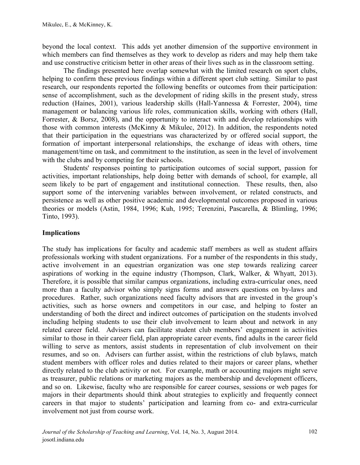beyond the local context. This adds yet another dimension of the supportive environment in which members can find themselves as they work to develop as riders and may help them take and use constructive criticism better in other areas of their lives such as in the classroom setting.

The findings presented here overlap somewhat with the limited research on sport clubs, helping to confirm these previous findings within a different sport club setting. Similar to past research, our respondents reported the following benefits or outcomes from their participation: sense of accomplishment, such as the development of riding skills in the present study, stress reduction (Haines, 2001), various leadership skills (Hall-Yannessa & Forrester, 2004), time management or balancing various life roles, communication skills, working with others (Hall, Forrester, & Borsz, 2008), and the opportunity to interact with and develop relationships with those with common interests (McKinny & Mikulec, 2012). In addition, the respondents noted that their participation in the equestrians was characterized by or offered social support, the formation of important interpersonal relationships, the exchange of ideas with others, time management/time on task, and commitment to the institution, as seen in the level of involvement with the clubs and by competing for their schools.

Students' responses pointing to participation outcomes of social support, passion for activities, important relationships, help doing better with demands of school, for example, all seem likely to be part of engagement and institutional connection. These results, then, also support some of the intervening variables between involvement, or related constructs, and persistence as well as other positive academic and developmental outcomes proposed in various theories or models (Astin, 1984, 1996; Kuh, 1995; Terenzini, Pascarella, & Blimling, 1996; Tinto, 1993).

### **Implications**

The study has implications for faculty and academic staff members as well as student affairs professionals working with student organizations. For a number of the respondents in this study, active involvement in an equestrian organization was one step towards realizing career aspirations of working in the equine industry (Thompson, Clark, Walker, & Whyatt, 2013). Therefore, it is possible that similar campus organizations, including extra-curricular ones, need more than a faculty advisor who simply signs forms and answers questions on by-laws and procedures. Rather, such organizations need faculty advisors that are invested in the group's activities, such as horse owners and competitors in our case, and helping to foster an understanding of both the direct and indirect outcomes of participation on the students involved including helping students to use their club involvement to learn about and network in any related career field. Advisers can facilitate student club members' engagement in activities similar to those in their career field, plan appropriate career events, find adults in the career field willing to serve as mentors, assist students in representation of club involvement on their resumes, and so on. Advisers can further assist, within the restrictions of club bylaws, match student members with officer roles and duties related to their majors or career plans, whether directly related to the club activity or not. For example, math or accounting majors might serve as treasurer, public relations or marketing majors as the membership and development officers, and so on. Likewise, faculty who are responsible for career courses, sessions or web pages for majors in their departments should think about strategies to explicitly and frequently connect careers in that major to students' participation and learning from co- and extra-curricular involvement not just from course work.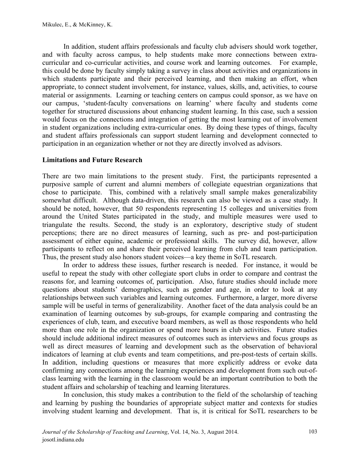In addition, student affairs professionals and faculty club advisers should work together, and with faculty across campus, to help students make more connections between extracurricular and co-curricular activities, and course work and learning outcomes. For example, this could be done by faculty simply taking a survey in class about activities and organizations in which students participate and their perceived learning, and then making an effort, when appropriate, to connect student involvement, for instance, values, skills, and, activities, to course material or assignments. Learning or teaching centers on campus could sponsor, as we have on our campus, 'student-faculty conversations on learning' where faculty and students come together for structured discussions about enhancing student learning. In this case, such a session would focus on the connections and integration of getting the most learning out of involvement in student organizations including extra-curricular ones. By doing these types of things, faculty and student affairs professionals can support student learning and development connected to participation in an organization whether or not they are directly involved as advisors.

#### **Limitations and Future Research**

There are two main limitations to the present study. First, the participants represented a purposive sample of current and alumni members of collegiate equestrian organizations that chose to participate. This, combined with a relatively small sample makes generalizability somewhat difficult. Although data-driven, this research can also be viewed as a case study. It should be noted, however, that 50 respondents representing 15 colleges and universities from around the United States participated in the study, and multiple measures were used to triangulate the results. Second, the study is an exploratory, descriptive study of student perceptions; there are no direct measures of learning, such as pre- and post-participation assessment of either equine, academic or professional skills. The survey did, however, allow participants to reflect on and share their perceived learning from club and team participation. Thus, the present study also honors student voices—a key theme in SoTL research.

In order to address these issues, further research is needed. For instance, it would be useful to repeat the study with other collegiate sport clubs in order to compare and contrast the reasons for, and learning outcomes of, participation. Also, future studies should include more questions about students' demographics, such as gender and age, in order to look at any relationships between such variables and learning outcomes. Furthermore, a larger, more diverse sample will be useful in terms of generalizability. Another facet of the data analysis could be an examination of learning outcomes by sub-groups, for example comparing and contrasting the experiences of club, team, and executive board members, as well as those respondents who held more than one role in the organization or spend more hours in club activities. Future studies should include additional indirect measures of outcomes such as interviews and focus groups as well as direct measures of learning and development such as the observation of behavioral indicators of learning at club events and team competitions, and pre-post-tests of certain skills. In addition, including questions or measures that more explicitly address or evoke data confirming any connections among the learning experiences and development from such out-ofclass learning with the learning in the classroom would be an important contribution to both the student affairs and scholarship of teaching and learning literatures.

In conclusion, this study makes a contribution to the field of the scholarship of teaching and learning by pushing the boundaries of appropriate subject matter and contexts for studies involving student learning and development. That is, it is critical for SoTL researchers to be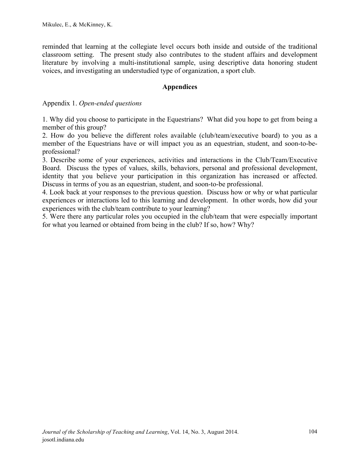reminded that learning at the collegiate level occurs both inside and outside of the traditional classroom setting. The present study also contributes to the student affairs and development literature by involving a multi-institutional sample, using descriptive data honoring student voices, and investigating an understudied type of organization, a sport club.

#### **Appendices**

Appendix 1. *Open-ended questions* 

1. Why did you choose to participate in the Equestrians? What did you hope to get from being a member of this group?

2. How do you believe the different roles available (club/team/executive board) to you as a member of the Equestrians have or will impact you as an equestrian, student, and soon-to-beprofessional?

3. Describe some of your experiences, activities and interactions in the Club/Team/Executive Board. Discuss the types of values, skills, behaviors, personal and professional development, identity that you believe your participation in this organization has increased or affected. Discuss in terms of you as an equestrian, student, and soon-to-be professional.

4. Look back at your responses to the previous question. Discuss how or why or what particular experiences or interactions led to this learning and development. In other words, how did your experiences with the club/team contribute to your learning?

5. Were there any particular roles you occupied in the club/team that were especially important for what you learned or obtained from being in the club? If so, how? Why?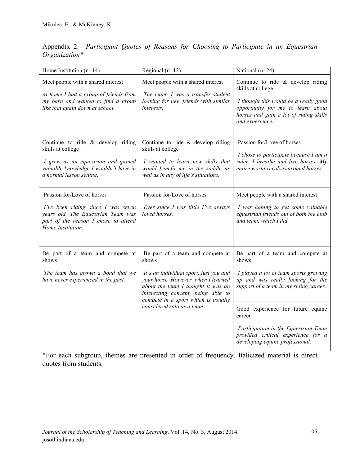| Appendix 2. Participant Quotes of Reasons for Choosing to Participate in an Equestrian |  |  |  |  |  |  |
|----------------------------------------------------------------------------------------|--|--|--|--|--|--|
| $Organization*$                                                                        |  |  |  |  |  |  |

| Home Institution $(n=14)$                                                                                                                                            | Regional $(n=12)$                                                                                                                                                                                                                             | National (n=24)                                                                                                                                                                                     |  |  |
|----------------------------------------------------------------------------------------------------------------------------------------------------------------------|-----------------------------------------------------------------------------------------------------------------------------------------------------------------------------------------------------------------------------------------------|-----------------------------------------------------------------------------------------------------------------------------------------------------------------------------------------------------|--|--|
| Meet people with a shared interest<br>At home I had a group of friends from<br>my barn and wanted to find a group<br>like that again down at school.                 | Meet people with a shared interest<br>The team- I was a transfer student<br>looking for new friends with similar<br><i>interests.</i>                                                                                                         | Continue to ride $&$ develop riding<br>skills at college<br>I thought this would be a really good<br>opportunity for me to learn about<br>horses and gain a lot of riding skills<br>and experience. |  |  |
| Continue to ride $\&$ develop riding<br>skills at college<br>I grew as an equestrian and gained<br>valuable knowledge I wouldn't have in<br>a normal lesson setting. | Continue to ride & develop riding<br>skills at college<br>I wanted to learn new skills that<br>would benefit me in the saddle as<br>well as in any of life's situations.                                                                      | Passion for/Love of horses<br>I chose to participate because I am a<br>rider. I breathe and live horses. My<br>entire world revolves around horses.                                                 |  |  |
| Passion for/Love of horses<br>I've been riding since I was seven<br>years old. The Equestrian Team was<br>part of the reason I chose to attend<br>Home Institution.  | Passion for/Love of horses<br>Ever since I was little I've always<br>loved horses.                                                                                                                                                            | Meet people with a shared interest<br>I was hoping to get some valuable<br>equestrian friends out of both the club<br>and team, which I did.                                                        |  |  |
| Be part of a team and compete at<br>shows<br>The team has grown a bond that we<br>have never experienced in the past.                                                | Be part of a team and compete at<br>shows<br>It's an individual sport, just you and<br>your horse. However, when I learned<br>about the team I thought it was an<br>interesting concept, being able to<br>compete in a sport which is usually | Be part of a team and compete at<br>shows<br>I played a lot of team sports growing<br>up and was really looking for the<br>support of a team in my riding career.                                   |  |  |
|                                                                                                                                                                      | considered solo as a team.                                                                                                                                                                                                                    | Good experience for future equine<br>career<br>Participation in the Equestrian Team<br>provided critical experience for a<br>developing equine professional.                                        |  |  |

\*For each subgroup, themes are presented in order of frequency. Italicized material is direct quotes from students.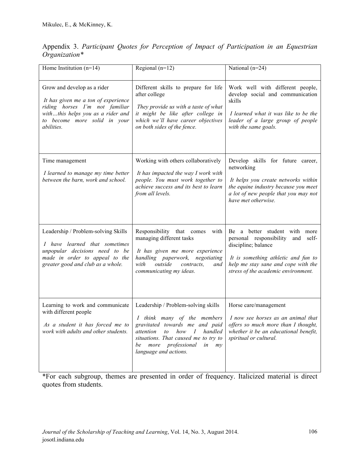| Home Institution $(n=14)$                                                                                                                                                                      | Regional $(n=12)$                                                                                                                                                                                                                                        | National (n=24)                                                                                                                                                                                                   |
|------------------------------------------------------------------------------------------------------------------------------------------------------------------------------------------------|----------------------------------------------------------------------------------------------------------------------------------------------------------------------------------------------------------------------------------------------------------|-------------------------------------------------------------------------------------------------------------------------------------------------------------------------------------------------------------------|
| Grow and develop as a rider<br>It has given me a ton of experience<br>riding horses I'm not familiar<br>withthis helps you as a rider and<br>to become more solid in your<br><i>abilities.</i> | Different skills to prepare for life<br>after college<br>They provide us with a taste of what<br>it might be like after college in<br>which we'll have career objectives<br>on both sides of the fence.                                                  | Work well with different people,<br>develop social and communication<br>skills<br>I learned what it was like to be the<br>leader of a large group of people<br>with the same goals.                               |
| Time management<br>I learned to manage my time better<br>between the barn, work and school.                                                                                                    | Working with others collaboratively<br>It has impacted the way I work with<br>people. You must work together to<br>achieve success and its best to learn<br>from all levels.                                                                             | Develop skills for future career,<br>networking<br>It helps you create networks within<br>the equine industry because you meet<br>a lot of new people that you may not<br>have met otherwise.                     |
| Leadership / Problem-solving Skills<br>I have learned that sometimes<br>unpopular decisions need to be<br>made in order to appeal to the<br>greater good and club as a whole.                  | Responsibility that comes with<br>managing different tasks<br>It has given me more experience<br>handling paperwork, negotiating<br>outside<br>with<br>contracts,<br>and<br>communicating my ideas.                                                      | Be a better student with more<br>personal responsibility<br>and self-<br>discipline; balance<br>It is something athletic and fun to<br>help me stay sane and cope with the<br>stress of the academic environment. |
| Learning to work and communicate<br>with different people<br>As a student it has forced me to<br>work with adults and other students.                                                          | Leadership / Problem-solving skills<br>I think many of the members<br>gravitated towards me and paid<br>attention<br>to<br>$how \quad I$<br>handled<br>situations. That caused me to try to<br>be more professional<br>in<br>my<br>language and actions. | Horse care/management<br>I now see horses as an animal that<br>offers so much more than I thought,<br>whether it be an educational benefit,<br>spiritual or cultural.                                             |

Appendix 3. *Participant Quotes for Perception of Impact of Participation in an Equestrian Organization\** 

\*For each subgroup, themes are presented in order of frequency. Italicized material is direct quotes from students.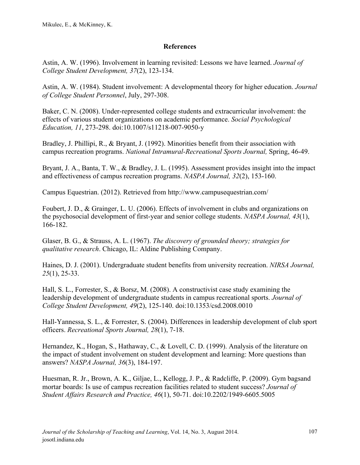#### **References**

Astin, A. W. (1996). Involvement in learning revisited: Lessons we have learned. *Journal of College Student Development, 37*(2), 123-134.

Astin, A. W. (1984). Student involvement: A developmental theory for higher education. *Journal of College Student Personnel*, July, 297-308.

Baker, C. N. (2008). Under-represented college students and extracurricular involvement: the effects of various student organizations on academic performance. *Social Psychological Education, 11*, 273-298. doi:10.1007/s11218-007-9050-y

Bradley, J. Phillipi, R., & Bryant, J. (1992). Minorities benefit from their association with campus recreation programs. *National Intramural-Recreational Sports Journal,* Spring, 46-49.

Bryant, J. A., Banta, T. W., & Bradley, J. L. (1995). Assessment provides insight into the impact and effectiveness of campus recreation programs. *NASPA Journal, 32*(2), 153-160.

Campus Equestrian. (2012). Retrieved from http://www.campusequestrian.com/

Foubert, J. D., & Grainger, L. U. (2006). Effects of involvement in clubs and organizations on the psychosocial development of first-year and senior college students. *NASPA Journal, 43*(1), 166-182.

Glaser, B. G., & Strauss, A. L. (1967). *The discovery of grounded theory; strategies for qualitative research*. Chicago, IL: Aldine Publishing Company.

Haines, D. J. (2001). Undergraduate student benefits from university recreation. *NIRSA Journal, 25*(1), 25-33.

Hall, S. L., Forrester, S., & Borsz, M. (2008). A constructivist case study examining the leadership development of undergraduate students in campus recreational sports. *Journal of College Student Development, 49*(2), 125-140. doi:10.1353/csd.2008.0010

Hall-Yannessa, S. L., & Forrester, S. (2004). Differences in leadership development of club sport officers. *Recreational Sports Journal, 28*(1), 7-18.

Hernandez, K., Hogan, S., Hathaway, C., & Lovell, C. D. (1999). Analysis of the literature on the impact of student involvement on student development and learning: More questions than answers? *NASPA Journal, 36*(3), 184-197.

Huesman, R. Jr., Brown, A. K., Giljae, L., Kellogg, J. P., & Radcliffe, P. (2009). Gym bagsand mortar boards: Is use of campus recreation facilities related to student success? *Journal of Student Affairs Research and Practice, 46*(1), 50-71. doi:10.2202/1949-6605.5005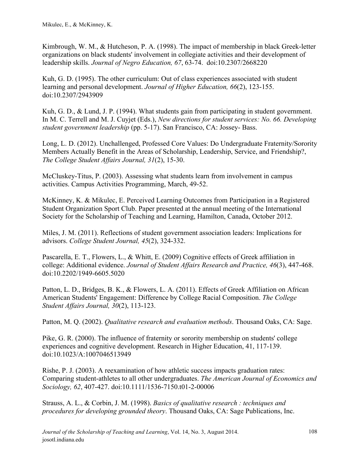Kimbrough, W. M., & Hutcheson, P. A. (1998). The impact of membership in black Greek-letter organizations on black students' involvement in collegiate activities and their development of leadership skills. *Journal of Negro Education, 67*, 63-74. doi:10.2307/2668220

Kuh, G. D. (1995). The other curriculum: Out of class experiences associated with student learning and personal development. *Journal of Higher Education, 66*(2), 123-155. doi:10.2307/2943909

Kuh, G. D., & Lund, J. P. (1994). What students gain from participating in student government. In M. C. Terrell and M. J. Cuyjet (Eds.), *New directions for student services: No. 66. Developing student government leadership* (pp. 5-17). San Francisco, CA: Jossey- Bass.

Long, L. D. (2012). Unchallenged, Professed Core Values: Do Undergraduate Fraternity/Sorority Members Actually Benefit in the Areas of Scholarship, Leadership, Service, and Friendship?, *The College Student Affairs Journal, 31*(2), 15-30.

McCluskey-Titus, P. (2003). Assessing what students learn from involvement in campus activities. Campus Activities Programming, March, 49-52.

McKinney, K. & Mikulec, E. Perceived Learning Outcomes from Participation in a Registered Student Organization Sport Club. Paper presented at the annual meeting of the International Society for the Scholarship of Teaching and Learning, Hamilton, Canada, October 2012.

Miles, J. M. (2011). Reflections of student government association leaders: Implications for advisors. *College Student Journal, 45*(2), 324-332.

Pascarella, E. T., Flowers, L., & Whitt, E. (2009) Cognitive effects of Greek affiliation in college: Additional evidence. *Journal of Student Affairs Research and Practice, 46*(3), 447-468. doi:10.2202/1949-6605.5020

Patton, L. D., Bridges, B. K., & Flowers, L. A. (2011). Effects of Greek Affiliation on African American Students' Engagement: Difference by College Racial Composition. *The College Student Affairs Journal, 30*(2), 113-123.

Patton, M. Q. (2002). *Qualitative research and evaluation methods*. Thousand Oaks, CA: Sage.

Pike, G. R. (2000). The influence of fraternity or sorority membership on students' college experiences and cognitive development. Research in Higher Education, 41, 117-139. doi:10.1023/A:1007046513949

Rishe, P. J. (2003). A reexamination of how athletic success impacts graduation rates: Comparing student-athletes to all other undergraduates. *The American Journal of Economics and Sociology, 62*, 407-427. doi:10.1111/1536-7150.t01-2-00006

Strauss, A. L., & Corbin, J. M. (1998). *Basics of qualitative research : techniques and procedures for developing grounded theory*. Thousand Oaks, CA: Sage Publications, Inc.